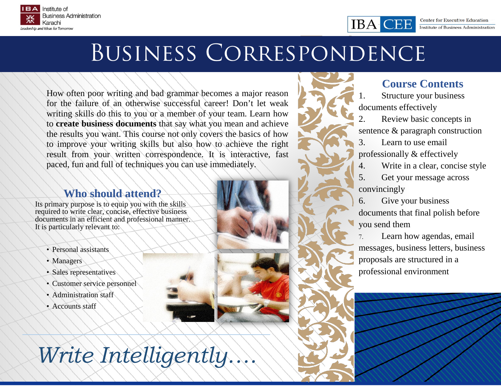

# Business Correspondence

How often poor writing and bad grammar becomes a major reason for the failure of an otherwise successful career! Don't let weak writing skills do this to you or a member of your team. Learn how to **create business documents** that say what you mean and achieve the results you want. This course not only covers the basics of how to improve your writing skills but also how to achieve the right result from your written correspondence. It is interactive, fast paced, fun and full of techniques you can use immediately.

#### **Who should attend?**

Its primary purpose is to equip you with the skills required to write clear, concise, effective business documents in an efficient and professional manner. It is particularly relevant to:

- Personal assistants
- Managers
- Sales representatives
- Customer service personnel
- Administration staff
- Accounts staff

*Write Intelligently….*

## **Course Contents**

Structure your business documents effectively

CHE

IBA C

2. Review basic concepts in sentence & paragraph construction

3. Learn to use email professionally & effectively

4. Write in a clear, concise style

5. Get your message across convincingly

6. Give your business documents that final polish before you send them

7. Learn how agendas, email messages, business letters, business proposals are structured in a professional environment